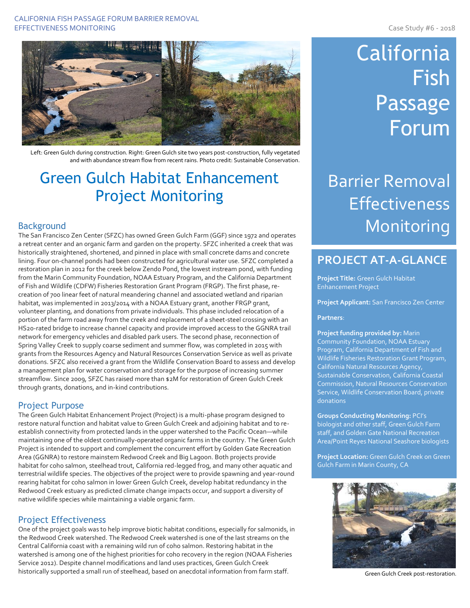#### CALIFORNIA FISH PASSAGE FORUM BARRIER REMOVAL EFFECTIVENESS MONITORING **CASE AND THE SET OF STATE AND SET OF STATE AND SET OF STATE AND SET OF STATE AND SET OF STATE AND SET OF STATE AND SET OF STATE AND SET OF STATE AND SET OF STATE AND SET OF STATE AND SET OF STATE**



Left: Green Gulch during construction. Right: Green Gulch site two years post-construction, fully vegetated and with abundance stream flow from recent rains. Photo credit: Sustainable Conservation.

## Green Gulch Habitat Enhancement Project Monitoring

## Background

The San Francisco Zen Center (SFZC) has owned Green Gulch Farm (GGF) since 1972 and operates a retreat center and an organic farm and garden on the property. SFZC inherited a creek that was historically straightened, shortened, and pinned in place with small concrete dams and concrete lining. Four on-channel ponds had been constructed for agricultural water use. SFZC completed a restoration plan in 2012 for the creek below Zendo Pond, the lowest instream pond, with funding from the Marin Community Foundation, NOAA Estuary Program, and the California Department of Fish and Wildlife (CDFW) Fisheries Restoration Grant Program (FRGP). The first phase, recreation of 700 linear feet of natural meandering channel and associated wetland and riparian habitat, was implemented in 2013/2014 with a NOAA Estuary grant, another FRGP grant, volunteer planting, and donations from private individuals. This phase included relocation of a portion of the farm road away from the creek and replacement of a sheet-steel crossing with an HS20-rated bridge to increase channel capacity and provide improved access to the GGNRA trail network for emergency vehicles and disabled park users. The second phase, reconnection of Spring Valley Creek to supply coarse sediment and summer flow, was completed in 2015 with grants from the Resources Agency and Natural Resources Conservation Service as well as private donations. SFZC also received a grant from the Wildlife Conservation Board to assess and develop a management plan for water conservation and storage for the purpose of increasing summer streamflow. Since 2009, SFZC has raised more than \$2M for restoration of Green Gulch Creek through grants, donations, and in-kind contributions.

## Project Purpose

The Green Gulch Habitat Enhancement Project (Project) is a multi-phase program designed to restore natural function and habitat value to Green Gulch Creek and adjoining habitat and to reestablish connectivity from protected lands in the upper watershed to the Pacific Ocean—while maintaining one of the oldest continually-operated organic farms in the country. The Green Gulch Project is intended to support and complement the concurrent effort by Golden Gate Recreation Area (GGNRA) to restore mainstem Redwood Creek and Big Lagoon. Both projects provide habitat for coho salmon, steelhead trout, California red-legged frog, and many other aquatic and terrestrial wildlife species. The objectives of the project were to provide spawning and year-round rearing habitat for coho salmon in lower Green Gulch Creek, develop habitat redundancy in the Redwood Creek estuary as predicted climate change impacts occur, and support a diversity of native wildlife species while maintaining a viable organic farm.

## Project Effectiveness

One of the project goals was to help improve biotic habitat conditions, especially for salmonids, in the Redwood Creek watershed. The Redwood Creek watershed is one of the last streams on the Central California coast with a remaining wild run of coho salmon. Restoring habitat in the watershed is among one of the highest priorities for coho recovery in the region (NOAA Fisheries Service 2012). Despite channel modifications and land uses practices, Green Gulch Creek historically supported a small run of steelhead, based on anecdotal information from farm staff.

# California Fish Passage **Forum**

Barrier Removal **Effectiveness** Monitoring

## **PROJECT AT-A-GLANCE**

**Project Title:** Green Gulch Habitat Enhancement Project

**Project Applicant:** San Francisco Zen Center

#### **Partners**:

**Project funding provided by:** Marin Community Foundation, NOAA Estuary Program, California Department of Fish and Wildlife Fisheries Restoration Grant Program, California Natural Resources Agency, Sustainable Conservation, California Coastal Commission, Natural Resources Conservation Service, Wildlife Conservation Board, private donations

**Groups Conducting Monitoring:** PCI's biologist and other staff, Green Gulch Farm staff, and Golden Gate National Recreation Area/Point Reyes National Seashore biologists

**Project Location:** Green Gulch Creek on Green Gulch Farm in Marin County, CA



Green Gulch Creek post-restoration.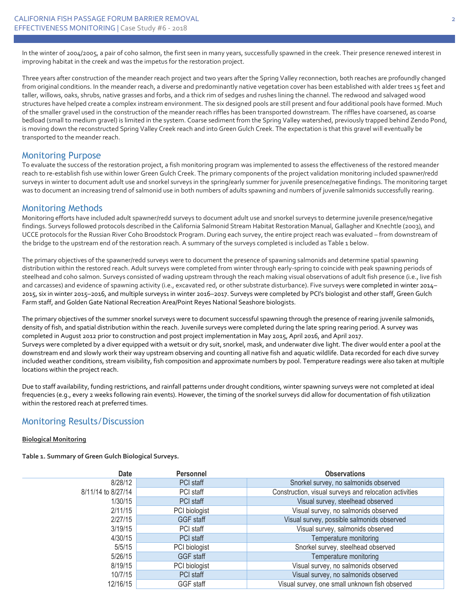In the winter of 2004/2005, a pair of coho salmon, the first seen in many years, successfully spawned in the creek. Their presence renewed interest in improving habitat in the creek and was the impetus for the restoration project.

Three years after construction of the meander reach project and two years after the Spring Valley reconnection, both reaches are profoundly changed from original conditions. In the meander reach, a diverse and predominantly native vegetation cover has been established with alder trees 15 feet and taller, willows, oaks, shrubs, native grasses and forbs, and a thick rim of sedges and rushes lining the channel. The redwood and salvaged wood structures have helped create a complex instream environment. The six designed pools are still present and four additional pools have formed. Much of the smaller gravel used in the construction of the meander reach riffles has been transported downstream. The riffles have coarsened, as coarse bedload (small to medium gravel) is limited in the system. Coarse sediment from the Spring Valley watershed, previously trapped behind Zendo Pond, is moving down the reconstructed Spring Valley Creek reach and into Green Gulch Creek. The expectation is that this gravel will eventually be transported to the meander reach.

## Monitoring Purpose

To evaluate the success of the restoration project, a fish monitoring program was implemented to assess the effectiveness of the restored meander reach to re-establish fish use within lower Green Gulch Creek. The primary components of the project validation monitoring included spawner/redd surveys in winter to document adult use and snorkel surveys in the spring/early summer for juvenile presence/negative findings. The monitoring target was to document an increasing trend of salmonid use in both numbers of adults spawning and numbers of juvenile salmonids successfully rearing.

## Monitoring Methods

Monitoring efforts have included adult spawner/redd surveys to document adult use and snorkel surveys to determine juvenile presence/negative findings. Surveys followed protocols described in the California Salmonid Stream Habitat Restoration Manual, Gallagher and Knechtle (2003), and UCCE protocols for the Russian River Coho Broodstock Program. During each survey, the entire project reach was evaluated – from downstream of the bridge to the upstream end of the restoration reach. A summary of the surveys completed is included as Table 1 below.

The primary objectives of the spawner/redd surveys were to document the presence of spawning salmonids and determine spatial spawning distribution within the restored reach. Adult surveys were completed from winter through early-spring to coincide with peak spawning periods of steelhead and coho salmon. Surveys consisted of wading upstream through the reach making visual observations of adult fish presence (i.e., live fish and carcasses) and evidence of spawning activity (i.e., excavated red, or other substrate disturbance). Five surveys were completed in winter 2014– 2015, six in winter 2015–2016, and multiple surveys1 in winter 2016–2017. Surveys were completed by PCI's biologist and other staff, Green Gulch Farm staff, and Golden Gate National Recreation Area/Point Reyes National Seashore biologists.

The primary objectives of the summer snorkel surveys were to document successful spawning through the presence of rearing juvenile salmonids, density of fish, and spatial distribution within the reach. Juvenile surveys were completed during the late spring rearing period. A survey was completed in August 2012 prior to construction and post project implementation in May 2015, April 2016, and April 2017. Surveys were completed by a diver equipped with a wetsuit or dry suit, snorkel, mask, and underwater dive light. The diver would enter a pool at the downstream end and slowly work their way upstream observing and counting all native fish and aquatic wildlife. Data recorded for each dive survey included weather conditions, stream visibility, fish composition and approximate numbers by pool. Temperature readings were also taken at multiple locations within the project reach.

Due to staff availability, funding restrictions, and rainfall patterns under drought conditions, winter spawning surveys were not completed at ideal frequencies (e.g., every 2 weeks following rain events). However, the timing of the snorkel surveys did allow for documentation of fish utilization within the restored reach at preferred times.

## Monitoring Results/Discussion

#### **Biological Monitoring**

**Table 1. Summary of Green Gulch Biological Surveys.**

| Date               | <b>Personnel</b> | <b>Observations</b>                                    |
|--------------------|------------------|--------------------------------------------------------|
| 8/28/12            | PCI staff        | Snorkel survey, no salmonids observed                  |
| 8/11/14 to 8/27/14 | PCI staff        | Construction, visual surveys and relocation activities |
| 1/30/15            | PCI staff        | Visual survey, steelhead observed                      |
| 2/11/15            | PCI biologist    | Visual survey, no salmonids observed                   |
| 2/27/15            | GGF staff        | Visual survey, possible salmonids observed             |
| 3/19/15            | PCI staff        | Visual survey, salmonids observed                      |
| 4/30/15            | PCI staff        | Temperature monitoring                                 |
| 5/5/15             | PCI biologist    | Snorkel survey, steelhead observed                     |
| 5/26/15            | GGF staff        | Temperature monitoring                                 |
| 8/19/15            | PCI biologist    | Visual survey, no salmonids observed                   |
| 10/7/15            | PCI staff        | Visual survey, no salmonids observed                   |
| 12/16/15           | GGF staff        | Visual survey, one small unknown fish observed         |